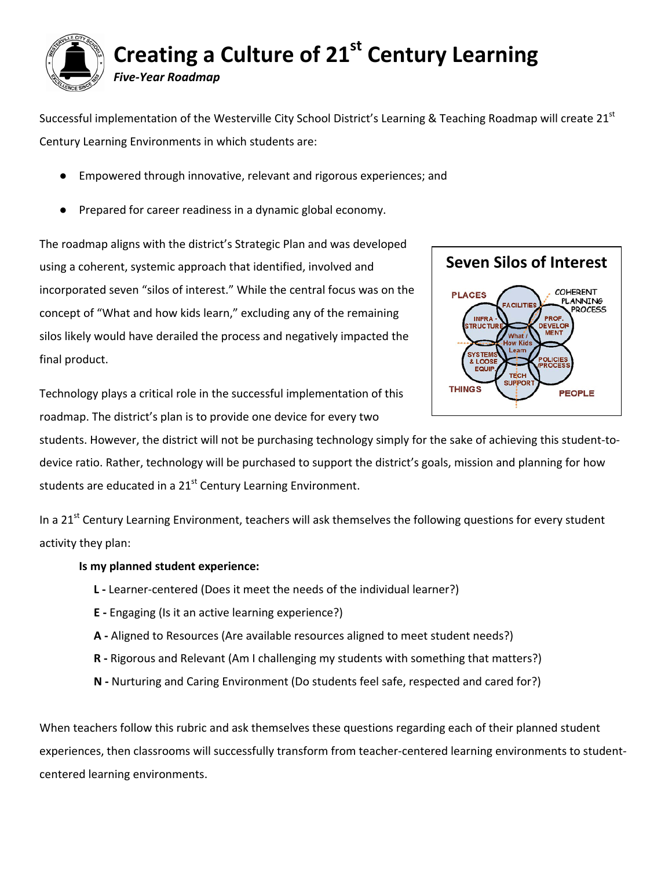

Successful implementation of the Westerville City School District's Learning & Teaching Roadmap will create  $21<sup>st</sup>$ Century Learning Environments in which students are:

- Empowered through innovative, relevant and rigorous experiences; and
- Prepared for career readiness in a dynamic global economy.

The roadmap aligns with the district's Strategic Plan and was developed using a coherent, systemic approach that identified, involved and incorporated seven "silos of interest." While the central focus was on the concept of "What and how kids learn," excluding any of the remaining silos likely would have derailed the process and negatively impacted the final product.



Technology plays a critical role in the successful implementation of this roadmap. The district's plan is to provide one device for every two

students. However, the district will not be purchasing technology simply for the sake of achieving this student-todevice ratio. Rather, technology will be purchased to support the district's goals, mission and planning for how students are educated in a  $21<sup>st</sup>$  Century Learning Environment.

In a 21<sup>st</sup> Century Learning Environment, teachers will ask themselves the following questions for every student activity they plan:

## **Is my planned student experience:**

- **L ‐** Learner‐centered (Does it meet the needs of the individual learner?)
- **E ‐** Engaging (Is it an active learning experience?)
- **A ‐** Aligned to Resources (Are available resources aligned to meet student needs?)
- **R ‐** Rigorous and Relevant (Am I challenging my students with something that matters?)
- **N ‐** Nurturing and Caring Environment (Do students feel safe, respected and cared for?)

When teachers follow this rubric and ask themselves these questions regarding each of their planned student experiences, then classrooms will successfully transform from teacher‐centered learning environments to student‐ centered learning environments.